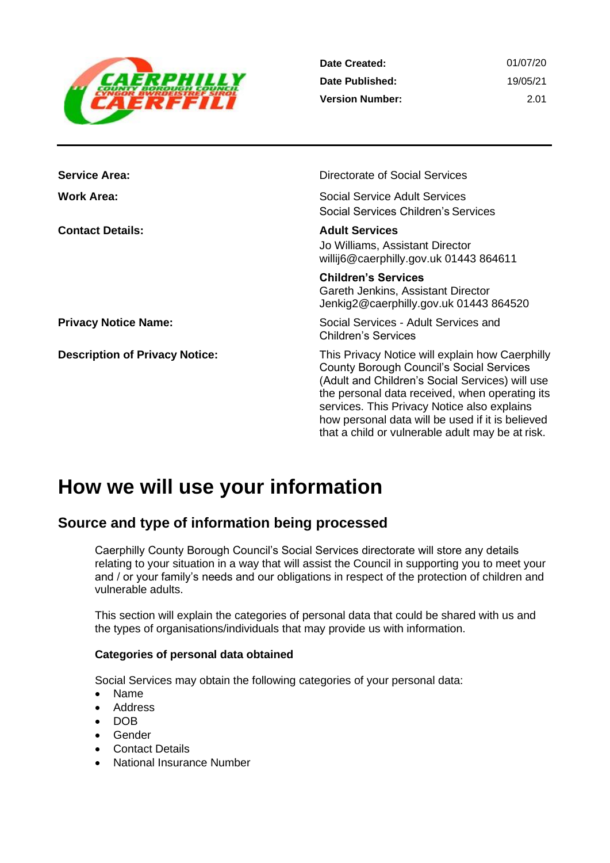

| Date Created:          | 01/07/20 |
|------------------------|----------|
| Date Published:        | 19/05/21 |
| <b>Version Number:</b> | -2.01    |

| <b>Service Area:</b>                  | Directorate of Social Services                                                                                                                                                                                                                                                                                                                                 |
|---------------------------------------|----------------------------------------------------------------------------------------------------------------------------------------------------------------------------------------------------------------------------------------------------------------------------------------------------------------------------------------------------------------|
| <b>Work Area:</b>                     | Social Service Adult Services<br>Social Services Children's Services                                                                                                                                                                                                                                                                                           |
| <b>Contact Details:</b>               | <b>Adult Services</b><br>Jo Williams, Assistant Director<br>willij6@caerphilly.gov.uk 01443 864611                                                                                                                                                                                                                                                             |
|                                       | <b>Children's Services</b><br>Gareth Jenkins, Assistant Director<br>Jenkig2@caerphilly.gov.uk 01443 864520                                                                                                                                                                                                                                                     |
| <b>Privacy Notice Name:</b>           | Social Services - Adult Services and<br><b>Children's Services</b>                                                                                                                                                                                                                                                                                             |
| <b>Description of Privacy Notice:</b> | This Privacy Notice will explain how Caerphilly<br><b>County Borough Council's Social Services</b><br>(Adult and Children's Social Services) will use<br>the personal data received, when operating its<br>services. This Privacy Notice also explains<br>how personal data will be used if it is believed<br>that a child or vulnerable adult may be at risk. |

# **How we will use your information**

# **Source and type of information being processed**

Caerphilly County Borough Council's Social Services directorate will store any details relating to your situation in a way that will assist the Council in supporting you to meet your and / or your family's needs and our obligations in respect of the protection of children and vulnerable adults.

This section will explain the categories of personal data that could be shared with us and the types of organisations/individuals that may provide us with information.

#### **Categories of personal data obtained**

Social Services may obtain the following categories of your personal data:

- Name
- Address
- DOB
- **Gender**
- Contact Details
- National Insurance Number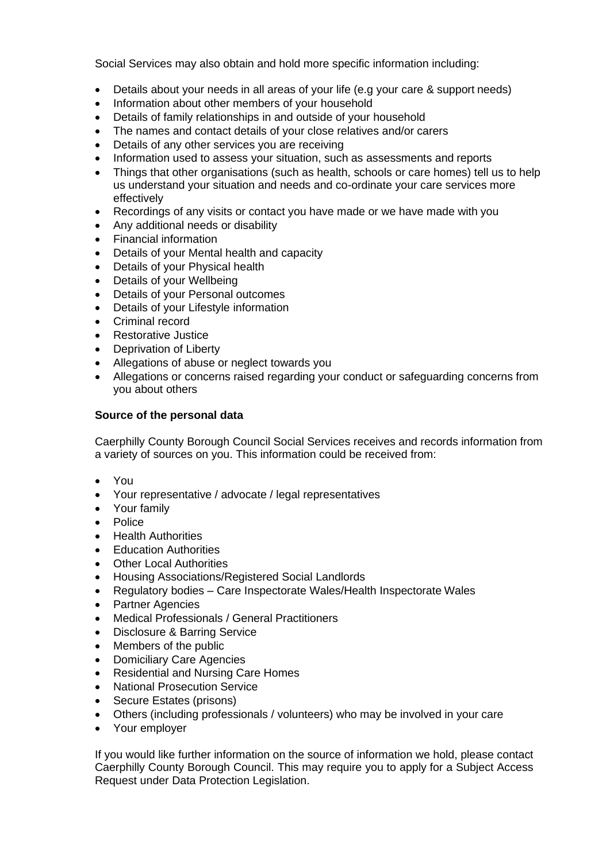Social Services may also obtain and hold more specific information including:

- Details about your needs in all areas of your life (e.g your care & support needs)
- Information about other members of your household
- Details of family relationships in and outside of your household
- The names and contact details of your close relatives and/or carers
- Details of any other services you are receiving
- Information used to assess your situation, such as assessments and reports
- Things that other organisations (such as health, schools or care homes) tell us to help us understand your situation and needs and co-ordinate your care services more effectively
- Recordings of any visits or contact you have made or we have made with you
- Any additional needs or disability
- Financial information
- Details of your Mental health and capacity
- Details of your Physical health
- Details of your Wellbeing
- Details of your Personal outcomes
- Details of your Lifestyle information
- Criminal record
- Restorative Justice
- **Deprivation of Liberty**
- Allegations of abuse or neglect towards you
- Allegations or concerns raised regarding your conduct or safeguarding concerns from you about others

#### **Source of the personal data**

Caerphilly County Borough Council Social Services receives and records information from a variety of sources on you. This information could be received from:

- You
- Your representative / advocate / legal representatives
- Your family
- Police
- Health Authorities
- Education Authorities
- **Other Local Authorities**
- Housing Associations/Registered Social Landlords
- Regulatory bodies Care Inspectorate Wales/Health Inspectorate Wales
- Partner Agencies
- Medical Professionals / General Practitioners
- Disclosure & Barring Service
- Members of the public
- Domiciliary Care Agencies
- Residential and Nursing Care Homes
- National Prosecution Service
- Secure Estates (prisons)
- Others (including professionals / volunteers) who may be involved in your care
- Your employer

If you would like further information on the source of information we hold, please contact Caerphilly County Borough Council. This may require you to apply for a Subject Access Request under Data Protection Legislation.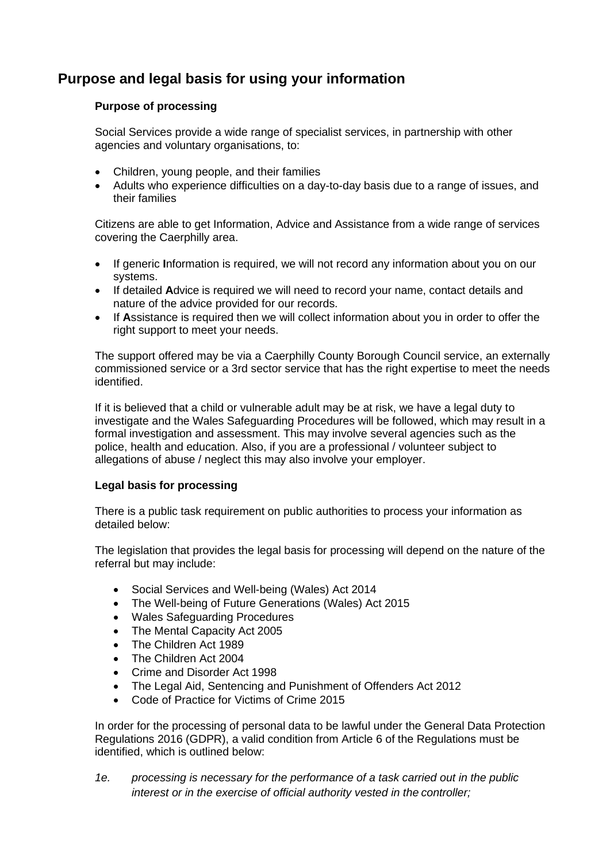# **Purpose and legal basis for using your information**

### **Purpose of processing**

Social Services provide a wide range of specialist services, in partnership with other agencies and voluntary organisations, to:

- Children, young people, and their families
- Adults who experience difficulties on a day-to-day basis due to a range of issues, and their families

Citizens are able to get Information, Advice and Assistance from a wide range of services covering the Caerphilly area.

- If generic **I**nformation is required, we will not record any information about you on our systems.
- If detailed **A**dvice is required we will need to record your name, contact details and nature of the advice provided for our records.
- If **A**ssistance is required then we will collect information about you in order to offer the right support to meet your needs.

The support offered may be via a Caerphilly County Borough Council service, an externally commissioned service or a 3rd sector service that has the right expertise to meet the needs identified.

If it is believed that a child or vulnerable adult may be at risk, we have a legal duty to investigate and the Wales Safeguarding Procedures will be followed, which may result in a formal investigation and assessment. This may involve several agencies such as the police, health and education. Also, if you are a professional / volunteer subject to allegations of abuse / neglect this may also involve your employer.

### **Legal basis for processing**

There is a public task requirement on public authorities to process your information as detailed below:

The legislation that provides the legal basis for processing will depend on the nature of the referral but may include:

- Social Services and Well-being (Wales) Act 2014
- The Well-being of Future Generations (Wales) Act 2015
- Wales Safeguarding Procedures
- The Mental Capacity Act 2005
- The Children Act 1989
- The Children Act 2004
- Crime and Disorder Act 1998
- The Legal Aid, Sentencing and Punishment of Offenders Act 2012
- Code of Practice for Victims of Crime 2015

In order for the processing of personal data to be lawful under the General Data Protection Regulations 2016 (GDPR), a valid condition from Article 6 of the Regulations must be identified, which is outlined below:

*1e. processing is necessary for the performance of a task carried out in the public interest or in the exercise of official authority vested in the controller;*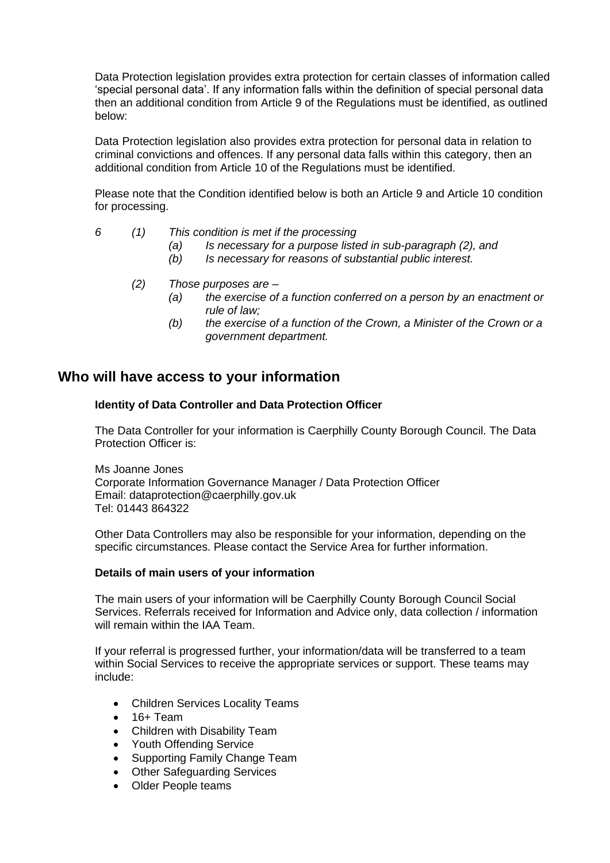Data Protection legislation provides extra protection for certain classes of information called 'special personal data'. If any information falls within the definition of special personal data then an additional condition from Article 9 of the Regulations must be identified, as outlined below:

Data Protection legislation also provides extra protection for personal data in relation to criminal convictions and offences. If any personal data falls within this category, then an additional condition from Article 10 of the Regulations must be identified.

Please note that the Condition identified below is both an Article 9 and Article 10 condition for processing.

- *6 (1) This condition is met if the processing*
	- *(a) Is necessary for a purpose listed in sub-paragraph (2), and*
	- *(b) Is necessary for reasons of substantial public interest.*
	- *(2) Those purposes are –*
		- *(a) the exercise of a function conferred on a person by an enactment or rule of law;*
		- *(b) the exercise of a function of the Crown, a Minister of the Crown or a government department.*

# **Who will have access to your information**

#### **Identity of Data Controller and Data Protection Officer**

The Data Controller for your information is Caerphilly County Borough Council. The Data Protection Officer is:

Ms Joanne Jones Corporate Information Governance Manager / Data Protection Officer Email: [dataprotection@caerphilly.gov.uk](mailto:dataprotection@caerphilly.gov.uk) Tel: 01443 864322

Other Data Controllers may also be responsible for your information, depending on the specific circumstances. Please contact the Service Area for further information.

#### **Details of main users of your information**

The main users of your information will be Caerphilly County Borough Council Social Services. Referrals received for Information and Advice only, data collection / information will remain within the IAA Team.

If your referral is progressed further, your information/data will be transferred to a team within Social Services to receive the appropriate services or support. These teams may include:

- Children Services Locality Teams
- $16 + Team$
- Children with Disability Team
- Youth Offending Service
- Supporting Family Change Team
- Other Safeguarding Services
- Older People teams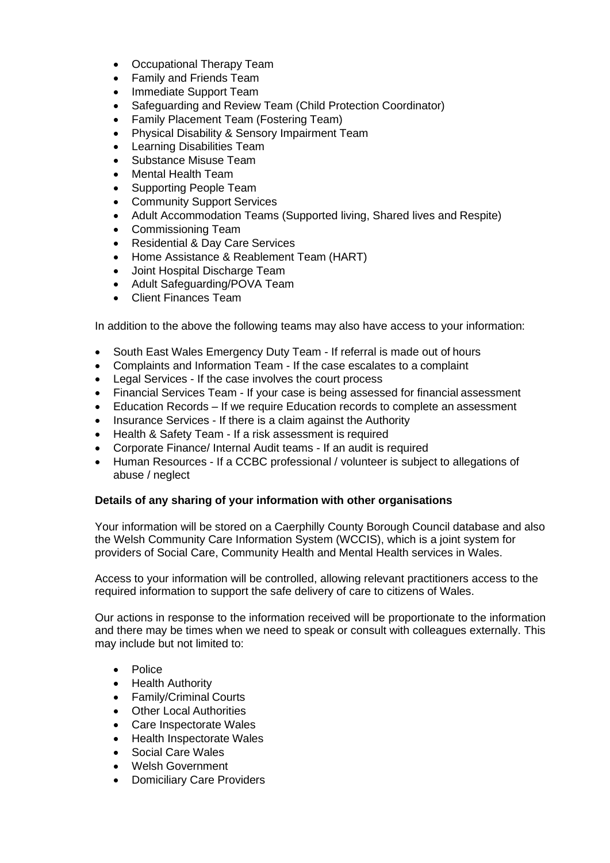- Occupational Therapy Team
- Family and Friends Team
- Immediate Support Team
- Safeguarding and Review Team (Child Protection Coordinator)
- Family Placement Team (Fostering Team)
- Physical Disability & Sensory Impairment Team
- Learning Disabilities Team
- Substance Misuse Team
- Mental Health Team
- Supporting People Team
- Community Support Services
- Adult Accommodation Teams (Supported living, Shared lives and Respite)
- Commissioning Team
- Residential & Day Care Services
- Home Assistance & Reablement Team (HART)
- Joint Hospital Discharge Team
- Adult Safeguarding/POVA Team
- Client Finances Team

In addition to the above the following teams may also have access to your information:

- South East Wales Emergency Duty Team If referral is made out of hours
- Complaints and Information Team If the case escalates to a complaint
- Legal Services If the case involves the court process
- Financial Services Team If your case is being assessed for financial assessment
- Education Records If we require Education records to complete an assessment
- Insurance Services If there is a claim against the Authority
- Health & Safety Team If a risk assessment is required
- Corporate Finance/ Internal Audit teams If an audit is required
- Human Resources If a CCBC professional / volunteer is subject to allegations of abuse / neglect

#### **Details of any sharing of your information with other organisations**

Your information will be stored on a Caerphilly County Borough Council database and also the Welsh Community Care Information System (WCCIS), which is a joint system for providers of Social Care, Community Health and Mental Health services in Wales.

Access to your information will be controlled, allowing relevant practitioners access to the required information to support the safe delivery of care to citizens of Wales.

Our actions in response to the information received will be proportionate to the information and there may be times when we need to speak or consult with colleagues externally. This may include but not limited to:

- Police
- Health Authority
- Family/Criminal Courts
- Other Local Authorities
- Care Inspectorate Wales
- Health Inspectorate Wales
- Social Care Wales
- Welsh Government
- Domiciliary Care Providers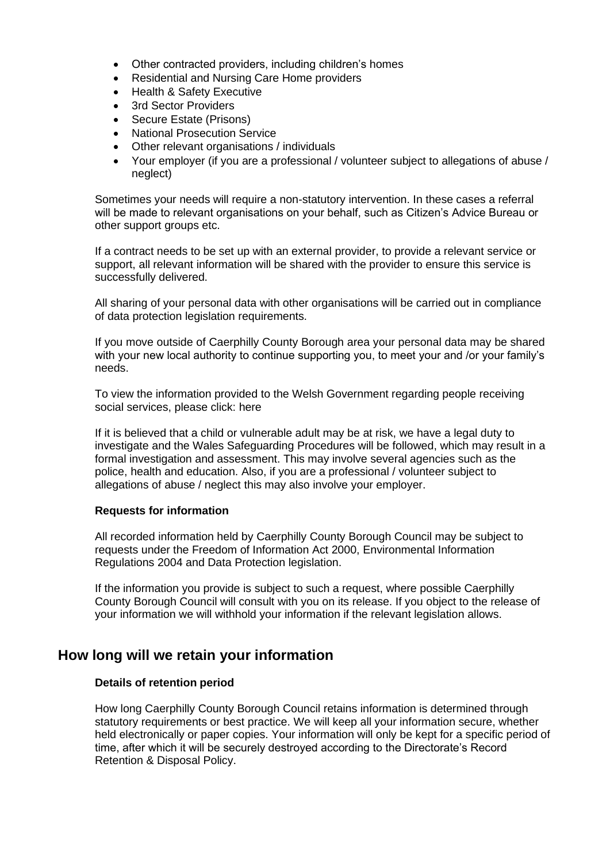- Other contracted providers, including children's homes
- Residential and Nursing Care Home providers
- Health & Safety Executive
- 3rd Sector Providers
- Secure Estate (Prisons)
- National Prosecution Service
- Other relevant organisations / individuals
- Your employer (if you are a professional / volunteer subject to allegations of abuse / neglect)

Sometimes your needs will require a non-statutory intervention. In these cases a referral will be made to relevant organisations on your behalf, such as Citizen's Advice Bureau or other support groups etc.

If a contract needs to be set up with an external provider, to provide a relevant service or support, all relevant information will be shared with the provider to ensure this service is successfully delivered.

All sharing of your personal data with other organisations will be carried out in compliance of data protection legislation requirements.

If you move outside of Caerphilly County Borough area your personal data may be shared with your new local authority to continue supporting you, to meet your and /or your family's needs.

To view the information provided to the Welsh Government regarding people receiving social services, please click: here

If it is believed that a child or vulnerable adult may be at risk, we have a legal duty to investigate and the Wales Safeguarding Procedures will be followed, which may result in a formal investigation and assessment. This may involve several agencies such as the police, health and education. Also, if you are a professional / volunteer subject to allegations of abuse / neglect this may also involve your employer.

#### **Requests for information**

All recorded information held by Caerphilly County Borough Council may be subject to requests under the Freedom of Information Act 2000, Environmental Information Regulations 2004 and Data Protection legislation.

If the information you provide is subject to such a request, where possible Caerphilly County Borough Council will consult with you on its release. If you object to the release of your information we will withhold your information if the relevant legislation allows.

## **How long will we retain your information**

#### **Details of retention period**

How long Caerphilly County Borough Council retains information is determined through statutory requirements or best practice. We will keep all your information secure, whether held electronically or paper copies. Your information will only be kept for a specific period of time, after which it will be securely destroyed according to the Directorate's Record Retention & Disposal Policy.